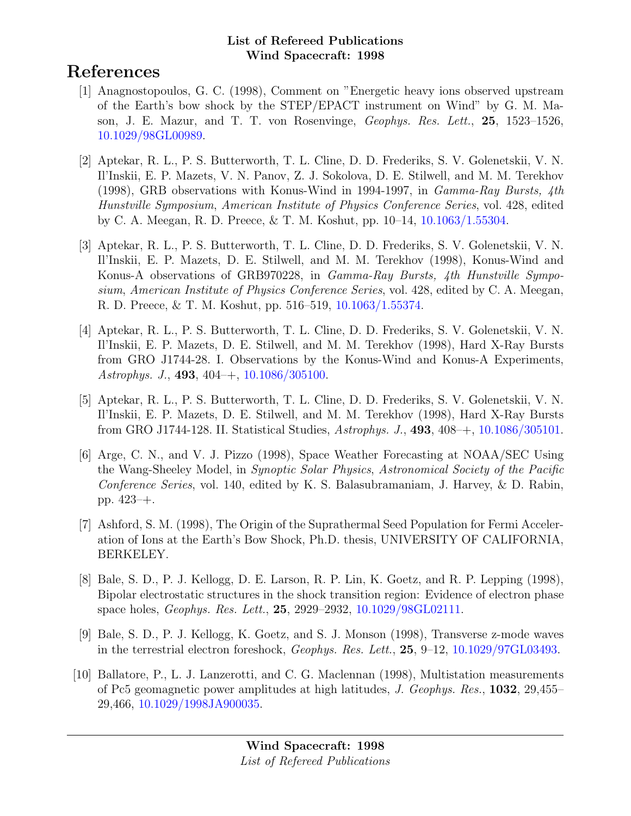# References

- [1] Anagnostopoulos, G. C. (1998), Comment on "Energetic heavy ions observed upstream of the Earth's bow shock by the STEP/EPACT instrument on Wind" by G. M. Mason, J. E. Mazur, and T. T. von Rosenvinge, Geophys. Res. Lett., 25, 1523–1526, [10.1029/98GL00989.](http://dx.doi.org/10.1029/98GL00989)
- [2] Aptekar, R. L., P. S. Butterworth, T. L. Cline, D. D. Frederiks, S. V. Golenetskii, V. N. Il'Inskii, E. P. Mazets, V. N. Panov, Z. J. Sokolova, D. E. Stilwell, and M. M. Terekhov (1998), GRB observations with Konus-Wind in 1994-1997, in Gamma-Ray Bursts, 4th Hunstville Symposium, American Institute of Physics Conference Series, vol. 428, edited by C. A. Meegan, R. D. Preece, & T. M. Koshut, pp. 10–14, [10.1063/1.55304.](http://dx.doi.org/10.1063/1.55304)
- [3] Aptekar, R. L., P. S. Butterworth, T. L. Cline, D. D. Frederiks, S. V. Golenetskii, V. N. Il'Inskii, E. P. Mazets, D. E. Stilwell, and M. M. Terekhov (1998), Konus-Wind and Konus-A observations of GRB970228, in Gamma-Ray Bursts, 4th Hunstville Symposium, American Institute of Physics Conference Series, vol. 428, edited by C. A. Meegan, R. D. Preece, & T. M. Koshut, pp. 516–519, [10.1063/1.55374.](http://dx.doi.org/10.1063/1.55374)
- [4] Aptekar, R. L., P. S. Butterworth, T. L. Cline, D. D. Frederiks, S. V. Golenetskii, V. N. Il'Inskii, E. P. Mazets, D. E. Stilwell, and M. M. Terekhov (1998), Hard X-Ray Bursts from GRO J1744-28. I. Observations by the Konus-Wind and Konus-A Experiments, Astrophys. J., 493, 404–+, [10.1086/305100.](http://dx.doi.org/10.1086/305100)
- [5] Aptekar, R. L., P. S. Butterworth, T. L. Cline, D. D. Frederiks, S. V. Golenetskii, V. N. Il'Inskii, E. P. Mazets, D. E. Stilwell, and M. M. Terekhov (1998), Hard X-Ray Bursts from GRO J1744-128. II. Statistical Studies, Astrophys. J., 493, 408–+, [10.1086/305101.](http://dx.doi.org/10.1086/305101)
- [6] Arge, C. N., and V. J. Pizzo (1998), Space Weather Forecasting at NOAA/SEC Using the Wang-Sheeley Model, in Synoptic Solar Physics, Astronomical Society of the Pacific Conference Series, vol. 140, edited by K. S. Balasubramaniam, J. Harvey, & D. Rabin, pp. 423–+.
- [7] Ashford, S. M. (1998), The Origin of the Suprathermal Seed Population for Fermi Acceleration of Ions at the Earth's Bow Shock, Ph.D. thesis, UNIVERSITY OF CALIFORNIA, BERKELEY.
- [8] Bale, S. D., P. J. Kellogg, D. E. Larson, R. P. Lin, K. Goetz, and R. P. Lepping (1998), Bipolar electrostatic structures in the shock transition region: Evidence of electron phase space holes, Geophys. Res. Lett., 25, 2929–2932, [10.1029/98GL02111.](http://dx.doi.org/10.1029/98GL02111)
- [9] Bale, S. D., P. J. Kellogg, K. Goetz, and S. J. Monson (1998), Transverse z-mode waves in the terrestrial electron foreshock, Geophys. Res. Lett., 25, 9–12, [10.1029/97GL03493.](http://dx.doi.org/10.1029/97GL03493)
- [10] Ballatore, P., L. J. Lanzerotti, and C. G. Maclennan (1998), Multistation measurements of Pc5 geomagnetic power amplitudes at high latitudes, J. Geophys. Res., 1032, 29,455– 29,466, [10.1029/1998JA900035.](http://dx.doi.org/10.1029/1998JA900035)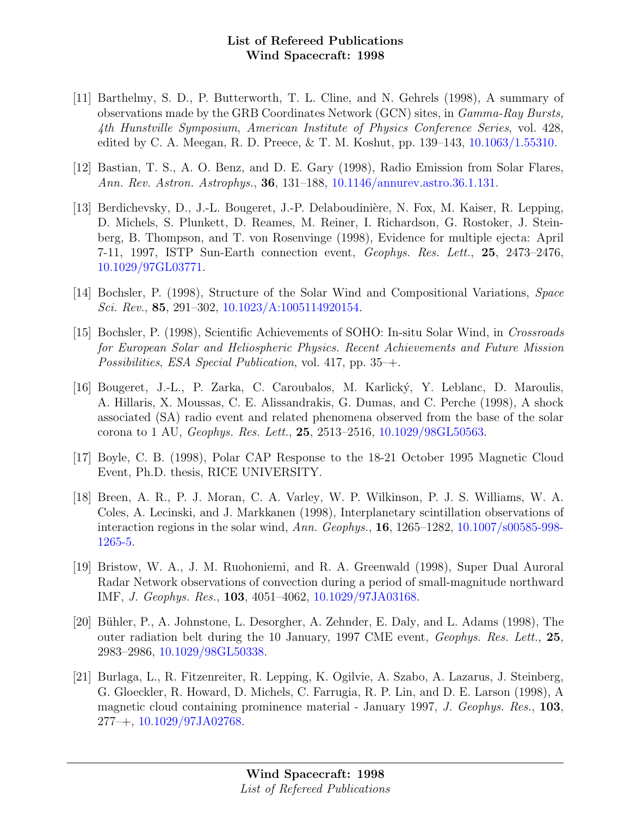- [11] Barthelmy, S. D., P. Butterworth, T. L. Cline, and N. Gehrels (1998), A summary of observations made by the GRB Coordinates Network (GCN) sites, in Gamma-Ray Bursts, 4th Hunstville Symposium, American Institute of Physics Conference Series, vol. 428, edited by C. A. Meegan, R. D. Preece, & T. M. Koshut, pp. 139–143, [10.1063/1.55310.](http://dx.doi.org/10.1063/1.55310)
- [12] Bastian, T. S., A. O. Benz, and D. E. Gary (1998), Radio Emission from Solar Flares, Ann. Rev. Astron. Astrophys., 36, 131–188, [10.1146/annurev.astro.36.1.131.](http://dx.doi.org/10.1146/annurev.astro.36.1.131)
- [13] Berdichevsky, D., J.-L. Bougeret, J.-P. Delaboudinière, N. Fox, M. Kaiser, R. Lepping, D. Michels, S. Plunkett, D. Reames, M. Reiner, I. Richardson, G. Rostoker, J. Steinberg, B. Thompson, and T. von Rosenvinge (1998), Evidence for multiple ejecta: April 7-11, 1997, ISTP Sun-Earth connection event, Geophys. Res. Lett., 25, 2473–2476, [10.1029/97GL03771.](http://dx.doi.org/10.1029/97GL03771)
- [14] Bochsler, P. (1998), Structure of the Solar Wind and Compositional Variations, Space Sci. Rev., 85, 291–302, [10.1023/A:1005114920154.](http://dx.doi.org/10.1023/A:1005114920154)
- [15] Bochsler, P. (1998), Scientific Achievements of SOHO: In-situ Solar Wind, in Crossroads for European Solar and Heliospheric Physics. Recent Achievements and Future Mission Possibilities, ESA Special Publication, vol. 417, pp. 35–+.
- [16] Bougeret, J.-L., P. Zarka, C. Caroubalos, M. Karlick´y, Y. Leblanc, D. Maroulis, A. Hillaris, X. Moussas, C. E. Alissandrakis, G. Dumas, and C. Perche (1998), A shock associated (SA) radio event and related phenomena observed from the base of the solar corona to 1 AU, Geophys. Res. Lett., 25, 2513–2516, [10.1029/98GL50563.](http://dx.doi.org/10.1029/98GL50563)
- [17] Boyle, C. B. (1998), Polar CAP Response to the 18-21 October 1995 Magnetic Cloud Event, Ph.D. thesis, RICE UNIVERSITY.
- [18] Breen, A. R., P. J. Moran, C. A. Varley, W. P. Wilkinson, P. J. S. Williams, W. A. Coles, A. Lecinski, and J. Markkanen (1998), Interplanetary scintillation observations of interaction regions in the solar wind, Ann. Geophys., 16, 1265–1282, [10.1007/s00585-998-](http://dx.doi.org/10.1007/s00585-998-1265-5) [1265-5.](http://dx.doi.org/10.1007/s00585-998-1265-5)
- [19] Bristow, W. A., J. M. Ruohoniemi, and R. A. Greenwald (1998), Super Dual Auroral Radar Network observations of convection during a period of small-magnitude northward IMF, J. Geophys. Res., 103, 4051–4062, [10.1029/97JA03168.](http://dx.doi.org/10.1029/97JA03168)
- [20] Bühler, P., A. Johnstone, L. Desorgher, A. Zehnder, E. Daly, and L. Adams (1998), The outer radiation belt during the 10 January, 1997 CME event, Geophys. Res. Lett., 25, 2983–2986, [10.1029/98GL50338.](http://dx.doi.org/10.1029/98GL50338)
- [21] Burlaga, L., R. Fitzenreiter, R. Lepping, K. Ogilvie, A. Szabo, A. Lazarus, J. Steinberg, G. Gloeckler, R. Howard, D. Michels, C. Farrugia, R. P. Lin, and D. E. Larson (1998), A magnetic cloud containing prominence material - January 1997, J. Geophys. Res., 103,  $277 - +$ , [10.1029/97JA02768.](http://dx.doi.org/10.1029/97JA02768)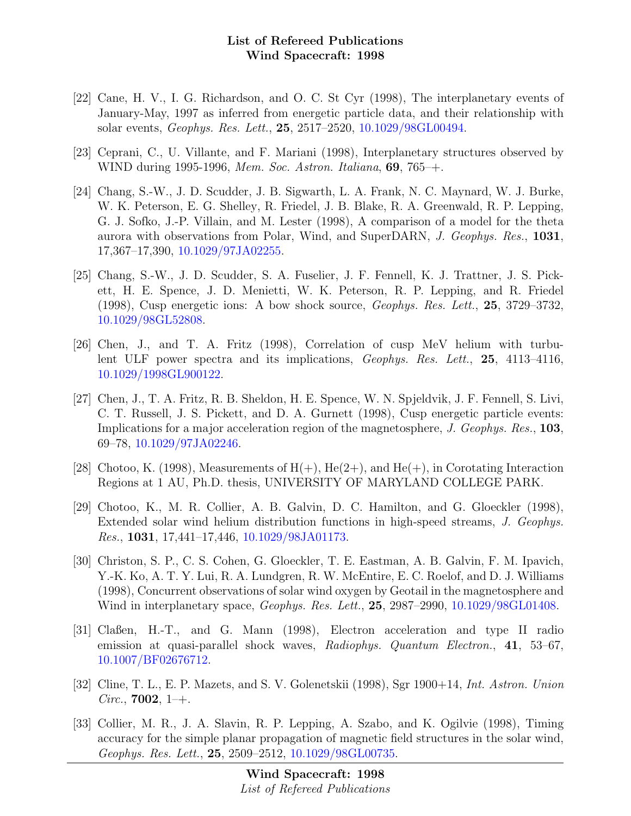- [22] Cane, H. V., I. G. Richardson, and O. C. St Cyr (1998), The interplanetary events of January-May, 1997 as inferred from energetic particle data, and their relationship with solar events, Geophys. Res. Lett., 25, 2517–2520, [10.1029/98GL00494.](http://dx.doi.org/10.1029/98GL00494)
- [23] Ceprani, C., U. Villante, and F. Mariani (1998), Interplanetary structures observed by WIND during 1995-1996, Mem. Soc. Astron. Italiana, **69**, 765–+.
- [24] Chang, S.-W., J. D. Scudder, J. B. Sigwarth, L. A. Frank, N. C. Maynard, W. J. Burke, W. K. Peterson, E. G. Shelley, R. Friedel, J. B. Blake, R. A. Greenwald, R. P. Lepping, G. J. Sofko, J.-P. Villain, and M. Lester (1998), A comparison of a model for the theta aurora with observations from Polar, Wind, and SuperDARN, J. Geophys. Res., 1031, 17,367–17,390, [10.1029/97JA02255.](http://dx.doi.org/10.1029/97JA02255)
- [25] Chang, S.-W., J. D. Scudder, S. A. Fuselier, J. F. Fennell, K. J. Trattner, J. S. Pickett, H. E. Spence, J. D. Menietti, W. K. Peterson, R. P. Lepping, and R. Friedel (1998), Cusp energetic ions: A bow shock source, Geophys. Res. Lett., 25, 3729–3732, [10.1029/98GL52808.](http://dx.doi.org/10.1029/98GL52808)
- [26] Chen, J., and T. A. Fritz (1998), Correlation of cusp MeV helium with turbulent ULF power spectra and its implications, Geophys. Res. Lett., 25, 4113–4116, [10.1029/1998GL900122.](http://dx.doi.org/10.1029/1998GL900122)
- [27] Chen, J., T. A. Fritz, R. B. Sheldon, H. E. Spence, W. N. Spjeldvik, J. F. Fennell, S. Livi, C. T. Russell, J. S. Pickett, and D. A. Gurnett (1998), Cusp energetic particle events: Implications for a major acceleration region of the magnetosphere, J. Geophys. Res., 103, 69–78, [10.1029/97JA02246.](http://dx.doi.org/10.1029/97JA02246)
- [28] Chotoo, K. (1998), Measurements of  $H(+)$ , He(2+), and He(+), in Corotating Interaction Regions at 1 AU, Ph.D. thesis, UNIVERSITY OF MARYLAND COLLEGE PARK.
- [29] Chotoo, K., M. R. Collier, A. B. Galvin, D. C. Hamilton, and G. Gloeckler (1998), Extended solar wind helium distribution functions in high-speed streams, J. Geophys. Res., 1031, 17,441–17,446, [10.1029/98JA01173.](http://dx.doi.org/10.1029/98JA01173)
- [30] Christon, S. P., C. S. Cohen, G. Gloeckler, T. E. Eastman, A. B. Galvin, F. M. Ipavich, Y.-K. Ko, A. T. Y. Lui, R. A. Lundgren, R. W. McEntire, E. C. Roelof, and D. J. Williams (1998), Concurrent observations of solar wind oxygen by Geotail in the magnetosphere and Wind in interplanetary space, Geophys. Res. Lett., 25, 2987–2990, [10.1029/98GL01408.](http://dx.doi.org/10.1029/98GL01408)
- [31] Claßen, H.-T., and G. Mann (1998), Electron acceleration and type II radio emission at quasi-parallel shock waves, Radiophys. Quantum Electron., 41, 53–67, [10.1007/BF02676712.](http://dx.doi.org/10.1007/BF02676712)
- [32] Cline, T. L., E. P. Mazets, and S. V. Golenetskii (1998), Sgr 1900+14, Int. Astron. Union *Circ.*, **7002**, 1–+.
- [33] Collier, M. R., J. A. Slavin, R. P. Lepping, A. Szabo, and K. Ogilvie (1998), Timing accuracy for the simple planar propagation of magnetic field structures in the solar wind, Geophys. Res. Lett., 25, 2509–2512, [10.1029/98GL00735.](http://dx.doi.org/10.1029/98GL00735)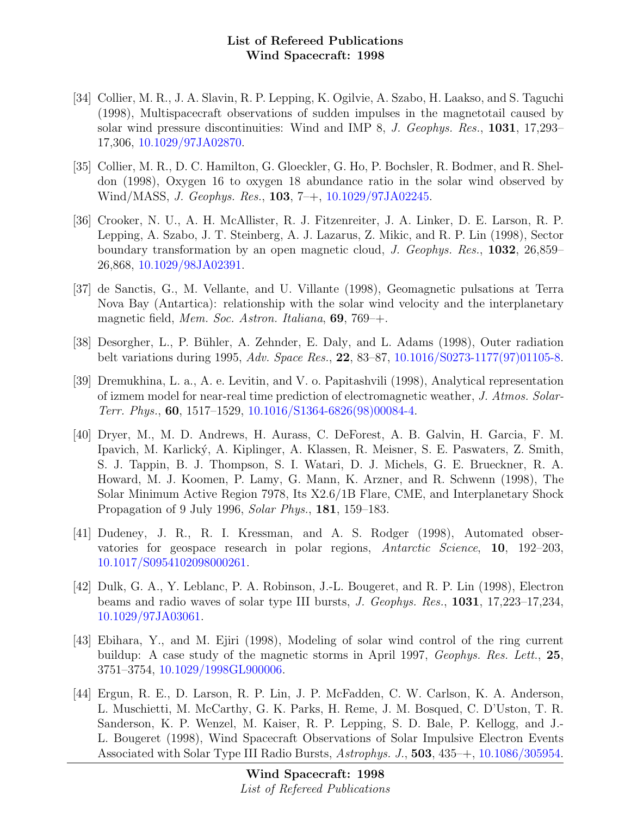- [34] Collier, M. R., J. A. Slavin, R. P. Lepping, K. Ogilvie, A. Szabo, H. Laakso, and S. Taguchi (1998), Multispacecraft observations of sudden impulses in the magnetotail caused by solar wind pressure discontinuities: Wind and IMP 8, J. Geophys. Res., 1031, 17,293– 17,306, [10.1029/97JA02870.](http://dx.doi.org/10.1029/97JA02870)
- [35] Collier, M. R., D. C. Hamilton, G. Gloeckler, G. Ho, P. Bochsler, R. Bodmer, and R. Sheldon (1998), Oxygen 16 to oxygen 18 abundance ratio in the solar wind observed by Wind/MASS, J. Geophys. Res., 103, 7–+, [10.1029/97JA02245.](http://dx.doi.org/10.1029/97JA02245)
- [36] Crooker, N. U., A. H. McAllister, R. J. Fitzenreiter, J. A. Linker, D. E. Larson, R. P. Lepping, A. Szabo, J. T. Steinberg, A. J. Lazarus, Z. Mikic, and R. P. Lin (1998), Sector boundary transformation by an open magnetic cloud, J. Geophys. Res., 1032, 26,859– 26,868, [10.1029/98JA02391.](http://dx.doi.org/10.1029/98JA02391)
- [37] de Sanctis, G., M. Vellante, and U. Villante (1998), Geomagnetic pulsations at Terra Nova Bay (Antartica): relationship with the solar wind velocity and the interplanetary magnetic field, Mem. Soc. Astron. Italiana, 69, 769–+.
- [38] Desorgher, L., P. Bühler, A. Zehnder, E. Daly, and L. Adams (1998), Outer radiation belt variations during 1995, Adv. Space Res., 22, 83–87, [10.1016/S0273-1177\(97\)01105-8.](http://dx.doi.org/10.1016/S0273-1177(97)01105-8)
- [39] Dremukhina, L. a., A. e. Levitin, and V. o. Papitashvili (1998), Analytical representation of izmem model for near-real time prediction of electromagnetic weather, J. Atmos. Solar-Terr. Phys., 60, 1517–1529, [10.1016/S1364-6826\(98\)00084-4.](http://dx.doi.org/10.1016/S1364-6826(98)00084-4)
- [40] Dryer, M., M. D. Andrews, H. Aurass, C. DeForest, A. B. Galvin, H. Garcia, F. M. Ipavich, M. Karlick´y, A. Kiplinger, A. Klassen, R. Meisner, S. E. Paswaters, Z. Smith, S. J. Tappin, B. J. Thompson, S. I. Watari, D. J. Michels, G. E. Brueckner, R. A. Howard, M. J. Koomen, P. Lamy, G. Mann, K. Arzner, and R. Schwenn (1998), The Solar Minimum Active Region 7978, Its X2.6/1B Flare, CME, and Interplanetary Shock Propagation of 9 July 1996, Solar Phys., 181, 159–183.
- [41] Dudeney, J. R., R. I. Kressman, and A. S. Rodger (1998), Automated observatories for geospace research in polar regions, Antarctic Science, 10, 192–203, [10.1017/S0954102098000261.](http://dx.doi.org/10.1017/S0954102098000261)
- [42] Dulk, G. A., Y. Leblanc, P. A. Robinson, J.-L. Bougeret, and R. P. Lin (1998), Electron beams and radio waves of solar type III bursts, J. Geophys. Res., 1031, 17,223–17,234, [10.1029/97JA03061.](http://dx.doi.org/10.1029/97JA03061)
- [43] Ebihara, Y., and M. Ejiri (1998), Modeling of solar wind control of the ring current buildup: A case study of the magnetic storms in April 1997, Geophys. Res. Lett., 25, 3751–3754, [10.1029/1998GL900006.](http://dx.doi.org/10.1029/1998GL900006)
- [44] Ergun, R. E., D. Larson, R. P. Lin, J. P. McFadden, C. W. Carlson, K. A. Anderson, L. Muschietti, M. McCarthy, G. K. Parks, H. Reme, J. M. Bosqued, C. D'Uston, T. R. Sanderson, K. P. Wenzel, M. Kaiser, R. P. Lepping, S. D. Bale, P. Kellogg, and J.- L. Bougeret (1998), Wind Spacecraft Observations of Solar Impulsive Electron Events Associated with Solar Type III Radio Bursts, Astrophys. J., 503, 435–+, [10.1086/305954.](http://dx.doi.org/10.1086/305954)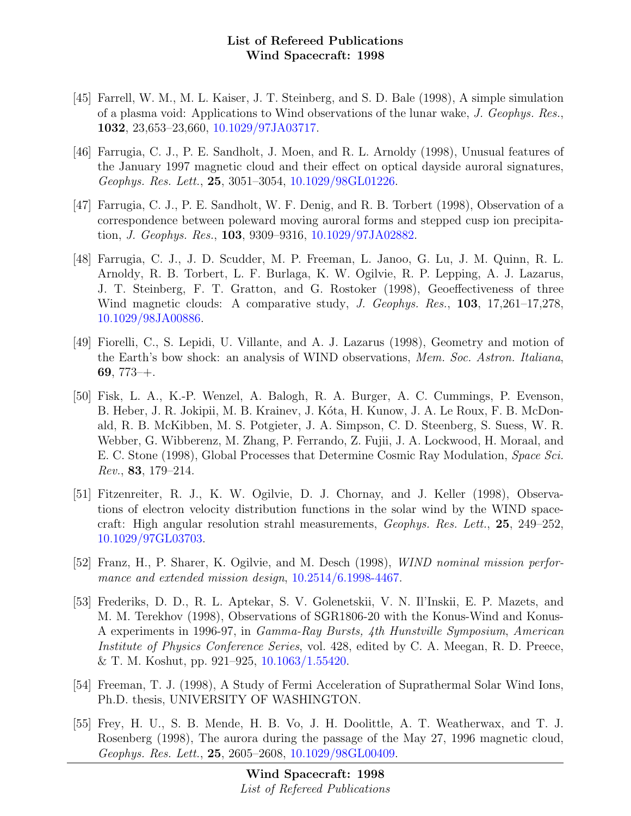- [45] Farrell, W. M., M. L. Kaiser, J. T. Steinberg, and S. D. Bale (1998), A simple simulation of a plasma void: Applications to Wind observations of the lunar wake, J. Geophys. Res., 1032, 23,653–23,660, [10.1029/97JA03717.](http://dx.doi.org/10.1029/97JA03717)
- [46] Farrugia, C. J., P. E. Sandholt, J. Moen, and R. L. Arnoldy (1998), Unusual features of the January 1997 magnetic cloud and their effect on optical dayside auroral signatures, Geophys. Res. Lett., 25, 3051–3054, [10.1029/98GL01226.](http://dx.doi.org/10.1029/98GL01226)
- [47] Farrugia, C. J., P. E. Sandholt, W. F. Denig, and R. B. Torbert (1998), Observation of a correspondence between poleward moving auroral forms and stepped cusp ion precipitation, J. Geophys. Res., 103, 9309–9316, [10.1029/97JA02882.](http://dx.doi.org/10.1029/97JA02882)
- [48] Farrugia, C. J., J. D. Scudder, M. P. Freeman, L. Janoo, G. Lu, J. M. Quinn, R. L. Arnoldy, R. B. Torbert, L. F. Burlaga, K. W. Ogilvie, R. P. Lepping, A. J. Lazarus, J. T. Steinberg, F. T. Gratton, and G. Rostoker (1998), Geoeffectiveness of three Wind magnetic clouds: A comparative study, J. Geophys. Res., 103, 17,261–17,278, [10.1029/98JA00886.](http://dx.doi.org/10.1029/98JA00886)
- [49] Fiorelli, C., S. Lepidi, U. Villante, and A. J. Lazarus (1998), Geometry and motion of the Earth's bow shock: an analysis of WIND observations, Mem. Soc. Astron. Italiana, 69,  $773-+$ .
- [50] Fisk, L. A., K.-P. Wenzel, A. Balogh, R. A. Burger, A. C. Cummings, P. Evenson, B. Heber, J. R. Jokipii, M. B. Krainev, J. Kóta, H. Kunow, J. A. Le Roux, F. B. McDonald, R. B. McKibben, M. S. Potgieter, J. A. Simpson, C. D. Steenberg, S. Suess, W. R. Webber, G. Wibberenz, M. Zhang, P. Ferrando, Z. Fujii, J. A. Lockwood, H. Moraal, and E. C. Stone (1998), Global Processes that Determine Cosmic Ray Modulation, Space Sci. Rev., 83, 179–214.
- [51] Fitzenreiter, R. J., K. W. Ogilvie, D. J. Chornay, and J. Keller (1998), Observations of electron velocity distribution functions in the solar wind by the WIND spacecraft: High angular resolution strahl measurements, Geophys. Res. Lett., 25, 249–252, [10.1029/97GL03703.](http://dx.doi.org/10.1029/97GL03703)
- [52] Franz, H., P. Sharer, K. Ogilvie, and M. Desch (1998), WIND nominal mission performance and extended mission design, [10.2514/6.1998-4467.](http://dx.doi.org/10.2514/6.1998-4467)
- [53] Frederiks, D. D., R. L. Aptekar, S. V. Golenetskii, V. N. Il'Inskii, E. P. Mazets, and M. M. Terekhov (1998), Observations of SGR1806-20 with the Konus-Wind and Konus-A experiments in 1996-97, in Gamma-Ray Bursts, 4th Hunstville Symposium, American Institute of Physics Conference Series, vol. 428, edited by C. A. Meegan, R. D. Preece, & T. M. Koshut, pp. 921–925, [10.1063/1.55420.](http://dx.doi.org/10.1063/1.55420)
- [54] Freeman, T. J. (1998), A Study of Fermi Acceleration of Suprathermal Solar Wind Ions, Ph.D. thesis, UNIVERSITY OF WASHINGTON.
- [55] Frey, H. U., S. B. Mende, H. B. Vo, J. H. Doolittle, A. T. Weatherwax, and T. J. Rosenberg (1998), The aurora during the passage of the May 27, 1996 magnetic cloud, Geophys. Res. Lett., 25, 2605–2608, [10.1029/98GL00409.](http://dx.doi.org/10.1029/98GL00409)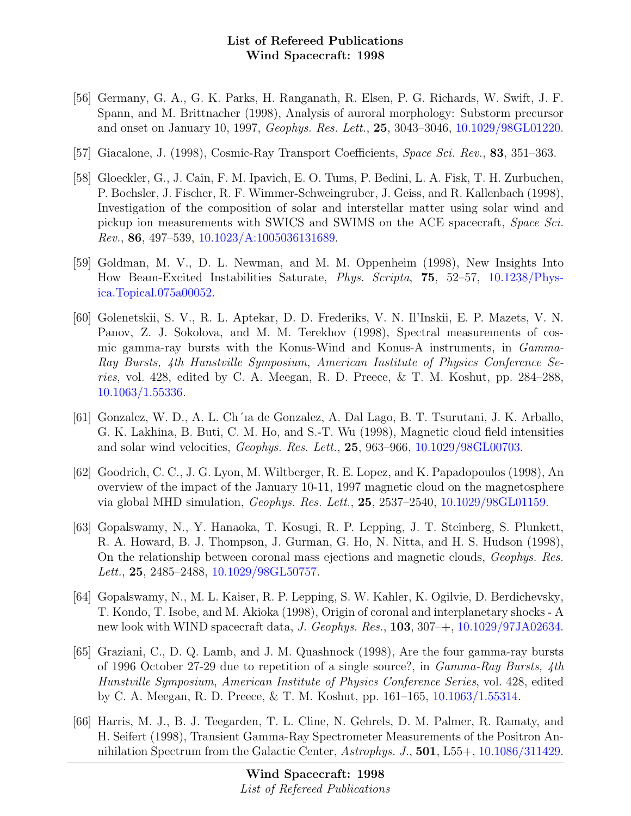- [56] Germany, G. A., G. K. Parks, H. Ranganath, R. Elsen, P. G. Richards, W. Swift, J. F. Spann, and M. Brittnacher (1998), Analysis of auroral morphology: Substorm precursor and onset on January 10, 1997, Geophys. Res. Lett., 25, 3043–3046, [10.1029/98GL01220.](http://dx.doi.org/10.1029/98GL01220)
- [57] Giacalone, J. (1998), Cosmic-Ray Transport Coefficients, Space Sci. Rev., 83, 351–363.
- [58] Gloeckler, G., J. Cain, F. M. Ipavich, E. O. Tums, P. Bedini, L. A. Fisk, T. H. Zurbuchen, P. Bochsler, J. Fischer, R. F. Wimmer-Schweingruber, J. Geiss, and R. Kallenbach (1998), Investigation of the composition of solar and interstellar matter using solar wind and pickup ion measurements with SWICS and SWIMS on the ACE spacecraft, Space Sci. Rev., 86, 497–539, [10.1023/A:1005036131689.](http://dx.doi.org/10.1023/A:1005036131689)
- [59] Goldman, M. V., D. L. Newman, and M. M. Oppenheim (1998), New Insights Into How Beam-Excited Instabilities Saturate, Phys. Scripta, 75, 52–57, [10.1238/Phys](http://dx.doi.org/10.1238/Physica.Topical.075a00052)[ica.Topical.075a00052.](http://dx.doi.org/10.1238/Physica.Topical.075a00052)
- [60] Golenetskii, S. V., R. L. Aptekar, D. D. Frederiks, V. N. Il'Inskii, E. P. Mazets, V. N. Panov, Z. J. Sokolova, and M. M. Terekhov (1998), Spectral measurements of cosmic gamma-ray bursts with the Konus-Wind and Konus-A instruments, in Gamma-Ray Bursts, 4th Hunstville Symposium, American Institute of Physics Conference Series, vol. 428, edited by C. A. Meegan, R. D. Preece, & T. M. Koshut, pp. 284–288, [10.1063/1.55336.](http://dx.doi.org/10.1063/1.55336)
- [61] Gonzalez, W. D., A. L. Ch´ıa de Gonzalez, A. Dal Lago, B. T. Tsurutani, J. K. Arballo, G. K. Lakhina, B. Buti, C. M. Ho, and S.-T. Wu (1998), Magnetic cloud field intensities and solar wind velocities, Geophys. Res. Lett., 25, 963–966, [10.1029/98GL00703.](http://dx.doi.org/10.1029/98GL00703)
- [62] Goodrich, C. C., J. G. Lyon, M. Wiltberger, R. E. Lopez, and K. Papadopoulos (1998), An overview of the impact of the January 10-11, 1997 magnetic cloud on the magnetosphere via global MHD simulation, Geophys. Res. Lett., 25, 2537–2540, [10.1029/98GL01159.](http://dx.doi.org/10.1029/98GL01159)
- [63] Gopalswamy, N., Y. Hanaoka, T. Kosugi, R. P. Lepping, J. T. Steinberg, S. Plunkett, R. A. Howard, B. J. Thompson, J. Gurman, G. Ho, N. Nitta, and H. S. Hudson (1998), On the relationship between coronal mass ejections and magnetic clouds, Geophys. Res. Lett., 25, 2485–2488, [10.1029/98GL50757.](http://dx.doi.org/10.1029/98GL50757)
- [64] Gopalswamy, N., M. L. Kaiser, R. P. Lepping, S. W. Kahler, K. Ogilvie, D. Berdichevsky, T. Kondo, T. Isobe, and M. Akioka (1998), Origin of coronal and interplanetary shocks - A new look with WIND spacecraft data, J. Geophys. Res., 103, 307–+, [10.1029/97JA02634.](http://dx.doi.org/10.1029/97JA02634)
- [65] Graziani, C., D. Q. Lamb, and J. M. Quashnock (1998), Are the four gamma-ray bursts of 1996 October 27-29 due to repetition of a single source?, in Gamma-Ray Bursts, 4th Hunstville Symposium, American Institute of Physics Conference Series, vol. 428, edited by C. A. Meegan, R. D. Preece, & T. M. Koshut, pp. 161–165, [10.1063/1.55314.](http://dx.doi.org/10.1063/1.55314)
- [66] Harris, M. J., B. J. Teegarden, T. L. Cline, N. Gehrels, D. M. Palmer, R. Ramaty, and H. Seifert (1998), Transient Gamma-Ray Spectrometer Measurements of the Positron Annihilation Spectrum from the Galactic Center, Astrophys. J., 501, L55+, [10.1086/311429.](http://dx.doi.org/10.1086/311429)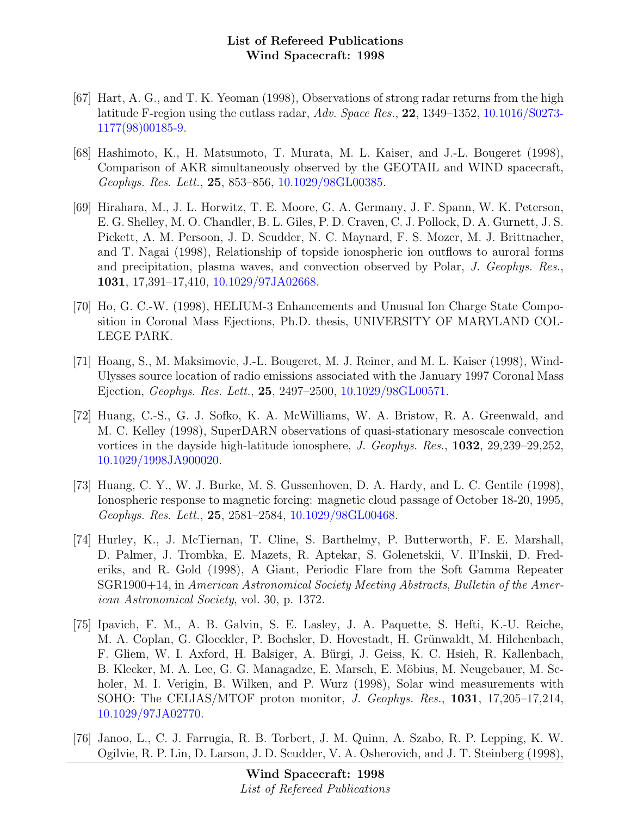- [67] Hart, A. G., and T. K. Yeoman (1998), Observations of strong radar returns from the high latitude F-region using the cutlass radar, Adv. Space Res., 22, 1349–1352, [10.1016/S0273-](http://dx.doi.org/10.1016/S0273-1177(98)00185-9) [1177\(98\)00185-9.](http://dx.doi.org/10.1016/S0273-1177(98)00185-9)
- [68] Hashimoto, K., H. Matsumoto, T. Murata, M. L. Kaiser, and J.-L. Bougeret (1998), Comparison of AKR simultaneously observed by the GEOTAIL and WIND spacecraft, Geophys. Res. Lett., 25, 853–856, [10.1029/98GL00385.](http://dx.doi.org/10.1029/98GL00385)
- [69] Hirahara, M., J. L. Horwitz, T. E. Moore, G. A. Germany, J. F. Spann, W. K. Peterson, E. G. Shelley, M. O. Chandler, B. L. Giles, P. D. Craven, C. J. Pollock, D. A. Gurnett, J. S. Pickett, A. M. Persoon, J. D. Scudder, N. C. Maynard, F. S. Mozer, M. J. Brittnacher, and T. Nagai (1998), Relationship of topside ionospheric ion outflows to auroral forms and precipitation, plasma waves, and convection observed by Polar, J. Geophys. Res., 1031, 17,391–17,410, [10.1029/97JA02668.](http://dx.doi.org/10.1029/97JA02668)
- [70] Ho, G. C.-W. (1998), HELIUM-3 Enhancements and Unusual Ion Charge State Composition in Coronal Mass Ejections, Ph.D. thesis, UNIVERSITY OF MARYLAND COL-LEGE PARK.
- [71] Hoang, S., M. Maksimovic, J.-L. Bougeret, M. J. Reiner, and M. L. Kaiser (1998), Wind-Ulysses source location of radio emissions associated with the January 1997 Coronal Mass Ejection, Geophys. Res. Lett., 25, 2497–2500, [10.1029/98GL00571.](http://dx.doi.org/10.1029/98GL00571)
- [72] Huang, C.-S., G. J. Sofko, K. A. McWilliams, W. A. Bristow, R. A. Greenwald, and M. C. Kelley (1998), SuperDARN observations of quasi-stationary mesoscale convection vortices in the dayside high-latitude ionosphere, J. Geophys. Res., 1032, 29,239–29,252, [10.1029/1998JA900020.](http://dx.doi.org/10.1029/1998JA900020)
- [73] Huang, C. Y., W. J. Burke, M. S. Gussenhoven, D. A. Hardy, and L. C. Gentile (1998), Ionospheric response to magnetic forcing: magnetic cloud passage of October 18-20, 1995, Geophys. Res. Lett., 25, 2581–2584, [10.1029/98GL00468.](http://dx.doi.org/10.1029/98GL00468)
- [74] Hurley, K., J. McTiernan, T. Cline, S. Barthelmy, P. Butterworth, F. E. Marshall, D. Palmer, J. Trombka, E. Mazets, R. Aptekar, S. Golenetskii, V. Il'Inskii, D. Frederiks, and R. Gold (1998), A Giant, Periodic Flare from the Soft Gamma Repeater SGR1900+14, in American Astronomical Society Meeting Abstracts, Bulletin of the American Astronomical Society, vol. 30, p. 1372.
- [75] Ipavich, F. M., A. B. Galvin, S. E. Lasley, J. A. Paquette, S. Hefti, K.-U. Reiche, M. A. Coplan, G. Gloeckler, P. Bochsler, D. Hovestadt, H. Grünwaldt, M. Hilchenbach, F. Gliem, W. I. Axford, H. Balsiger, A. Bürgi, J. Geiss, K. C. Hsieh, R. Kallenbach, B. Klecker, M. A. Lee, G. G. Managadze, E. Marsch, E. Möbius, M. Neugebauer, M. Scholer, M. I. Verigin, B. Wilken, and P. Wurz (1998), Solar wind measurements with SOHO: The CELIAS/MTOF proton monitor, J. Geophys. Res., 1031, 17,205–17,214, [10.1029/97JA02770.](http://dx.doi.org/10.1029/97JA02770)
- [76] Janoo, L., C. J. Farrugia, R. B. Torbert, J. M. Quinn, A. Szabo, R. P. Lepping, K. W. Ogilvie, R. P. Lin, D. Larson, J. D. Scudder, V. A. Osherovich, and J. T. Steinberg (1998),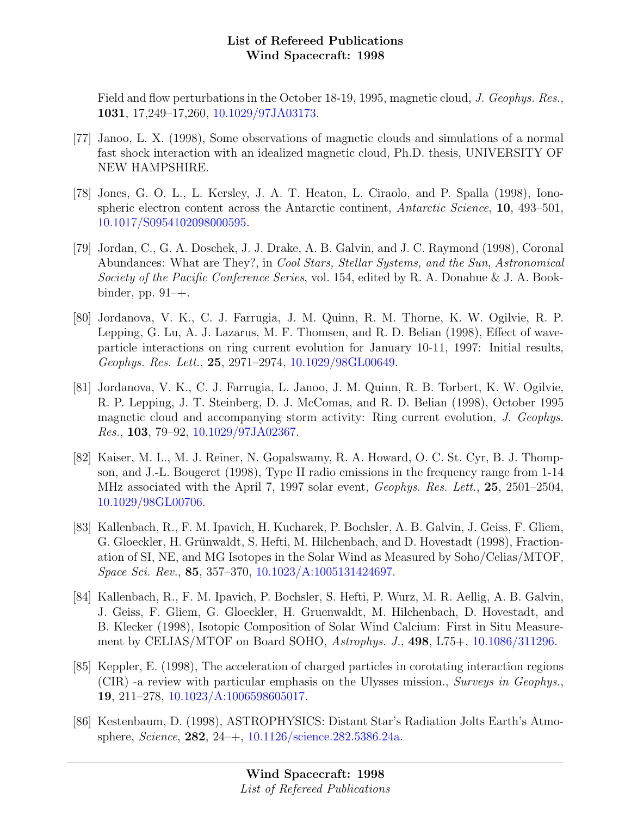Field and flow perturbations in the October 18-19, 1995, magnetic cloud, J. Geophys. Res., 1031, 17,249–17,260, [10.1029/97JA03173.](http://dx.doi.org/10.1029/97JA03173)

- [77] Janoo, L. X. (1998), Some observations of magnetic clouds and simulations of a normal fast shock interaction with an idealized magnetic cloud, Ph.D. thesis, UNIVERSITY OF NEW HAMPSHIRE.
- [78] Jones, G. O. L., L. Kersley, J. A. T. Heaton, L. Ciraolo, and P. Spalla (1998), Ionospheric electron content across the Antarctic continent, Antarctic Science, 10, 493–501, [10.1017/S0954102098000595.](http://dx.doi.org/10.1017/S0954102098000595)
- [79] Jordan, C., G. A. Doschek, J. J. Drake, A. B. Galvin, and J. C. Raymond (1998), Coronal Abundances: What are They?, in Cool Stars, Stellar Systems, and the Sun, Astronomical Society of the Pacific Conference Series, vol. 154, edited by R. A. Donahue & J. A. Bookbinder, pp.  $91-+$ .
- [80] Jordanova, V. K., C. J. Farrugia, J. M. Quinn, R. M. Thorne, K. W. Ogilvie, R. P. Lepping, G. Lu, A. J. Lazarus, M. F. Thomsen, and R. D. Belian (1998), Effect of waveparticle interactions on ring current evolution for January 10-11, 1997: Initial results, Geophys. Res. Lett., 25, 2971–2974, [10.1029/98GL00649.](http://dx.doi.org/10.1029/98GL00649)
- [81] Jordanova, V. K., C. J. Farrugia, L. Janoo, J. M. Quinn, R. B. Torbert, K. W. Ogilvie, R. P. Lepping, J. T. Steinberg, D. J. McComas, and R. D. Belian (1998), October 1995 magnetic cloud and accompanying storm activity: Ring current evolution, J. Geophys. Res., 103, 79–92, [10.1029/97JA02367.](http://dx.doi.org/10.1029/97JA02367)
- [82] Kaiser, M. L., M. J. Reiner, N. Gopalswamy, R. A. Howard, O. C. St. Cyr, B. J. Thompson, and J.-L. Bougeret (1998), Type II radio emissions in the frequency range from 1-14 MHz associated with the April 7, 1997 solar event, Geophys. Res. Lett., 25, 2501–2504, [10.1029/98GL00706.](http://dx.doi.org/10.1029/98GL00706)
- [83] Kallenbach, R., F. M. Ipavich, H. Kucharek, P. Bochsler, A. B. Galvin, J. Geiss, F. Gliem, G. Gloeckler, H. Grünwaldt, S. Hefti, M. Hilchenbach, and D. Hovestadt (1998), Fractionation of SI, NE, and MG Isotopes in the Solar Wind as Measured by Soho/Celias/MTOF, Space Sci. Rev., 85, 357–370, [10.1023/A:1005131424697.](http://dx.doi.org/10.1023/A:1005131424697)
- [84] Kallenbach, R., F. M. Ipavich, P. Bochsler, S. Hefti, P. Wurz, M. R. Aellig, A. B. Galvin, J. Geiss, F. Gliem, G. Gloeckler, H. Gruenwaldt, M. Hilchenbach, D. Hovestadt, and B. Klecker (1998), Isotopic Composition of Solar Wind Calcium: First in Situ Measurement by CELIAS/MTOF on Board SOHO, Astrophys. J., 498, L75+, [10.1086/311296.](http://dx.doi.org/10.1086/311296)
- [85] Keppler, E. (1998), The acceleration of charged particles in corotating interaction regions (CIR) -a review with particular emphasis on the Ulysses mission., Surveys in Geophys., 19, 211–278, [10.1023/A:1006598605017.](http://dx.doi.org/10.1023/A:1006598605017)
- [86] Kestenbaum, D. (1998), ASTROPHYSICS: Distant Star's Radiation Jolts Earth's Atmosphere, Science, 282, 24–+, [10.1126/science.282.5386.24a.](http://dx.doi.org/10.1126/science.282.5386.24a)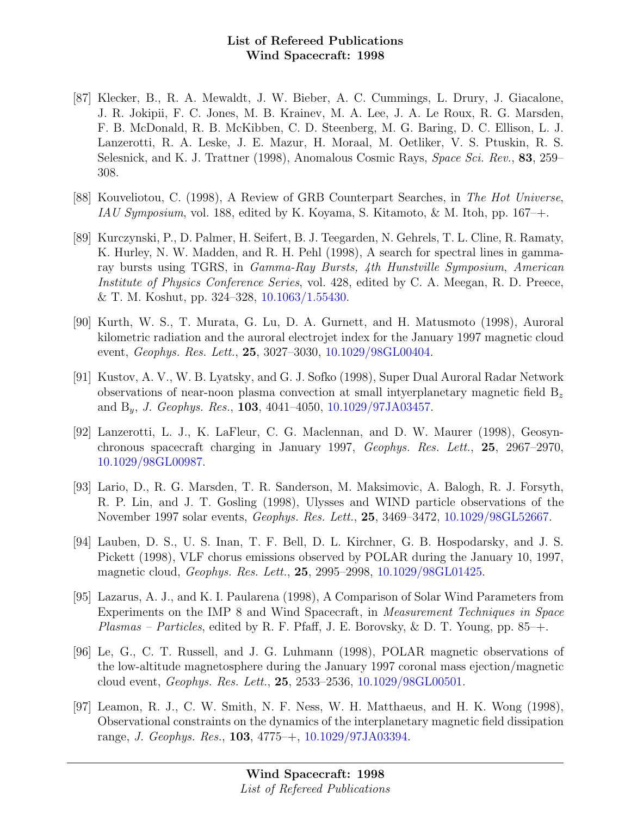- [87] Klecker, B., R. A. Mewaldt, J. W. Bieber, A. C. Cummings, L. Drury, J. Giacalone, J. R. Jokipii, F. C. Jones, M. B. Krainev, M. A. Lee, J. A. Le Roux, R. G. Marsden, F. B. McDonald, R. B. McKibben, C. D. Steenberg, M. G. Baring, D. C. Ellison, L. J. Lanzerotti, R. A. Leske, J. E. Mazur, H. Moraal, M. Oetliker, V. S. Ptuskin, R. S. Selesnick, and K. J. Trattner (1998), Anomalous Cosmic Rays, Space Sci. Rev., 83, 259– 308.
- [88] Kouveliotou, C. (1998), A Review of GRB Counterpart Searches, in The Hot Universe, IAU Symposium, vol. 188, edited by K. Koyama, S. Kitamoto, & M. Itoh, pp. 167–+.
- [89] Kurczynski, P., D. Palmer, H. Seifert, B. J. Teegarden, N. Gehrels, T. L. Cline, R. Ramaty, K. Hurley, N. W. Madden, and R. H. Pehl (1998), A search for spectral lines in gammaray bursts using TGRS, in Gamma-Ray Bursts, 4th Hunstville Symposium, American Institute of Physics Conference Series, vol. 428, edited by C. A. Meegan, R. D. Preece, & T. M. Koshut, pp. 324–328, [10.1063/1.55430.](http://dx.doi.org/10.1063/1.55430)
- [90] Kurth, W. S., T. Murata, G. Lu, D. A. Gurnett, and H. Matusmoto (1998), Auroral kilometric radiation and the auroral electrojet index for the January 1997 magnetic cloud event, Geophys. Res. Lett., 25, 3027–3030, [10.1029/98GL00404.](http://dx.doi.org/10.1029/98GL00404)
- [91] Kustov, A. V., W. B. Lyatsky, and G. J. Sofko (1998), Super Dual Auroral Radar Network observations of near-noon plasma convection at small intyerplanetary magnetic field  $B_z$ and  $B_y$ , *J. Geophys. Res.*, **103**, 4041-4050, [10.1029/97JA03457.](http://dx.doi.org/10.1029/97JA03457)
- [92] Lanzerotti, L. J., K. LaFleur, C. G. Maclennan, and D. W. Maurer (1998), Geosynchronous spacecraft charging in January 1997, Geophys. Res. Lett., 25, 2967–2970, [10.1029/98GL00987.](http://dx.doi.org/10.1029/98GL00987)
- [93] Lario, D., R. G. Marsden, T. R. Sanderson, M. Maksimovic, A. Balogh, R. J. Forsyth, R. P. Lin, and J. T. Gosling (1998), Ulysses and WIND particle observations of the November 1997 solar events, Geophys. Res. Lett., 25, 3469–3472, [10.1029/98GL52667.](http://dx.doi.org/10.1029/98GL52667)
- [94] Lauben, D. S., U. S. Inan, T. F. Bell, D. L. Kirchner, G. B. Hospodarsky, and J. S. Pickett (1998), VLF chorus emissions observed by POLAR during the January 10, 1997, magnetic cloud, Geophys. Res. Lett., 25, 2995–2998, [10.1029/98GL01425.](http://dx.doi.org/10.1029/98GL01425)
- [95] Lazarus, A. J., and K. I. Paularena (1998), A Comparison of Solar Wind Parameters from Experiments on the IMP 8 and Wind Spacecraft, in Measurement Techniques in Space *Plasmas – Particles*, edited by R. F. Pfaff, J. E. Borovsky, & D. T. Young, pp.  $85$ –+.
- [96] Le, G., C. T. Russell, and J. G. Luhmann (1998), POLAR magnetic observations of the low-altitude magnetosphere during the January 1997 coronal mass ejection/magnetic cloud event, Geophys. Res. Lett., 25, 2533–2536, [10.1029/98GL00501.](http://dx.doi.org/10.1029/98GL00501)
- [97] Leamon, R. J., C. W. Smith, N. F. Ness, W. H. Matthaeus, and H. K. Wong (1998), Observational constraints on the dynamics of the interplanetary magnetic field dissipation range, J. Geophys. Res., 103, 4775–+, [10.1029/97JA03394.](http://dx.doi.org/10.1029/97JA03394)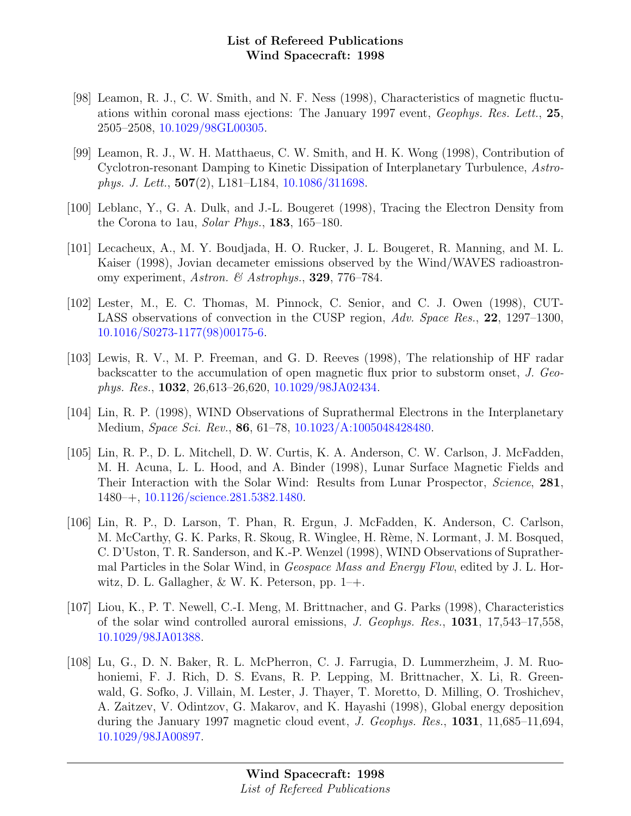- [98] Leamon, R. J., C. W. Smith, and N. F. Ness (1998), Characteristics of magnetic fluctuations within coronal mass ejections: The January 1997 event, Geophys. Res. Lett., 25, 2505–2508, [10.1029/98GL00305.](http://dx.doi.org/10.1029/98GL00305)
- [99] Leamon, R. J., W. H. Matthaeus, C. W. Smith, and H. K. Wong (1998), Contribution of Cyclotron-resonant Damping to Kinetic Dissipation of Interplanetary Turbulence, Astrophys. J. Lett., 507(2), L181–L184, [10.1086/311698.](http://dx.doi.org/10.1086/311698)
- [100] Leblanc, Y., G. A. Dulk, and J.-L. Bougeret (1998), Tracing the Electron Density from the Corona to 1au, Solar Phys., 183, 165–180.
- [101] Lecacheux, A., M. Y. Boudjada, H. O. Rucker, J. L. Bougeret, R. Manning, and M. L. Kaiser (1998), Jovian decameter emissions observed by the Wind/WAVES radioastronomy experiment, Astron. & Astrophys., 329, 776–784.
- [102] Lester, M., E. C. Thomas, M. Pinnock, C. Senior, and C. J. Owen (1998), CUT-LASS observations of convection in the CUSP region, Adv. Space Res., 22, 1297–1300, [10.1016/S0273-1177\(98\)00175-6.](http://dx.doi.org/10.1016/S0273-1177(98)00175-6)
- [103] Lewis, R. V., M. P. Freeman, and G. D. Reeves (1998), The relationship of HF radar backscatter to the accumulation of open magnetic flux prior to substorm onset, J. Geophys. Res., 1032, 26,613–26,620, [10.1029/98JA02434.](http://dx.doi.org/10.1029/98JA02434)
- [104] Lin, R. P. (1998), WIND Observations of Suprathermal Electrons in the Interplanetary Medium, Space Sci. Rev., 86, 61–78, [10.1023/A:1005048428480.](http://dx.doi.org/10.1023/A:1005048428480)
- [105] Lin, R. P., D. L. Mitchell, D. W. Curtis, K. A. Anderson, C. W. Carlson, J. McFadden, M. H. Acuna, L. L. Hood, and A. Binder (1998), Lunar Surface Magnetic Fields and Their Interaction with the Solar Wind: Results from Lunar Prospector, Science, 281, 1480–+, [10.1126/science.281.5382.1480.](http://dx.doi.org/10.1126/science.281.5382.1480)
- [106] Lin, R. P., D. Larson, T. Phan, R. Ergun, J. McFadden, K. Anderson, C. Carlson, M. McCarthy, G. K. Parks, R. Skoug, R. Winglee, H. Rème, N. Lormant, J. M. Bosqued, C. D'Uston, T. R. Sanderson, and K.-P. Wenzel (1998), WIND Observations of Suprathermal Particles in the Solar Wind, in Geospace Mass and Energy Flow, edited by J. L. Horwitz, D. L. Gallagher,  $\&$  W. K. Peterson, pp. 1–+.
- [107] Liou, K., P. T. Newell, C.-I. Meng, M. Brittnacher, and G. Parks (1998), Characteristics of the solar wind controlled auroral emissions, J. Geophys. Res., 1031, 17,543–17,558, [10.1029/98JA01388.](http://dx.doi.org/10.1029/98JA01388)
- [108] Lu, G., D. N. Baker, R. L. McPherron, C. J. Farrugia, D. Lummerzheim, J. M. Ruohoniemi, F. J. Rich, D. S. Evans, R. P. Lepping, M. Brittnacher, X. Li, R. Greenwald, G. Sofko, J. Villain, M. Lester, J. Thayer, T. Moretto, D. Milling, O. Troshichev, A. Zaitzev, V. Odintzov, G. Makarov, and K. Hayashi (1998), Global energy deposition during the January 1997 magnetic cloud event, J. Geophys. Res., 1031, 11,685–11,694, [10.1029/98JA00897.](http://dx.doi.org/10.1029/98JA00897)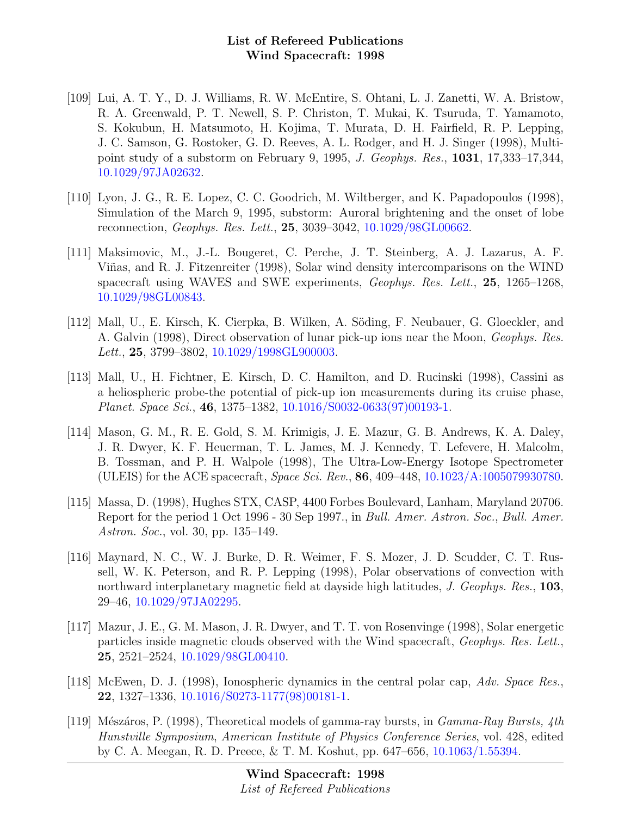- [109] Lui, A. T. Y., D. J. Williams, R. W. McEntire, S. Ohtani, L. J. Zanetti, W. A. Bristow, R. A. Greenwald, P. T. Newell, S. P. Christon, T. Mukai, K. Tsuruda, T. Yamamoto, S. Kokubun, H. Matsumoto, H. Kojima, T. Murata, D. H. Fairfield, R. P. Lepping, J. C. Samson, G. Rostoker, G. D. Reeves, A. L. Rodger, and H. J. Singer (1998), Multipoint study of a substorm on February 9, 1995, J. Geophys. Res., 1031, 17,333–17,344, [10.1029/97JA02632.](http://dx.doi.org/10.1029/97JA02632)
- [110] Lyon, J. G., R. E. Lopez, C. C. Goodrich, M. Wiltberger, and K. Papadopoulos (1998), Simulation of the March 9, 1995, substorm: Auroral brightening and the onset of lobe reconnection, Geophys. Res. Lett., 25, 3039–3042, [10.1029/98GL00662.](http://dx.doi.org/10.1029/98GL00662)
- [111] Maksimovic, M., J.-L. Bougeret, C. Perche, J. T. Steinberg, A. J. Lazarus, A. F. Viñas, and R. J. Fitzenreiter (1998), Solar wind density intercomparisons on the WIND spacecraft using WAVES and SWE experiments, Geophys. Res. Lett., 25, 1265–1268, [10.1029/98GL00843.](http://dx.doi.org/10.1029/98GL00843)
- [112] Mall, U., E. Kirsch, K. Cierpka, B. Wilken, A. Söding, F. Neubauer, G. Gloeckler, and A. Galvin (1998), Direct observation of lunar pick-up ions near the Moon, Geophys. Res. Lett., 25, 3799-3802, [10.1029/1998GL900003.](http://dx.doi.org/10.1029/1998GL900003)
- [113] Mall, U., H. Fichtner, E. Kirsch, D. C. Hamilton, and D. Rucinski (1998), Cassini as a heliospheric probe-the potential of pick-up ion measurements during its cruise phase, Planet. Space Sci., 46, 1375–1382, [10.1016/S0032-0633\(97\)00193-1.](http://dx.doi.org/10.1016/S0032-0633(97)00193-1)
- [114] Mason, G. M., R. E. Gold, S. M. Krimigis, J. E. Mazur, G. B. Andrews, K. A. Daley, J. R. Dwyer, K. F. Heuerman, T. L. James, M. J. Kennedy, T. Lefevere, H. Malcolm, B. Tossman, and P. H. Walpole (1998), The Ultra-Low-Energy Isotope Spectrometer (ULEIS) for the ACE spacecraft, Space Sci. Rev., 86, 409–448, [10.1023/A:1005079930780.](http://dx.doi.org/10.1023/A:1005079930780)
- [115] Massa, D. (1998), Hughes STX, CASP, 4400 Forbes Boulevard, Lanham, Maryland 20706. Report for the period 1 Oct 1996 - 30 Sep 1997., in Bull. Amer. Astron. Soc., Bull. Amer. Astron. Soc., vol. 30, pp. 135–149.
- [116] Maynard, N. C., W. J. Burke, D. R. Weimer, F. S. Mozer, J. D. Scudder, C. T. Russell, W. K. Peterson, and R. P. Lepping (1998), Polar observations of convection with northward interplanetary magnetic field at dayside high latitudes, J. Geophys. Res., 103, 29–46, [10.1029/97JA02295.](http://dx.doi.org/10.1029/97JA02295)
- [117] Mazur, J. E., G. M. Mason, J. R. Dwyer, and T. T. von Rosenvinge (1998), Solar energetic particles inside magnetic clouds observed with the Wind spacecraft, Geophys. Res. Lett., 25, 2521–2524, [10.1029/98GL00410.](http://dx.doi.org/10.1029/98GL00410)
- [118] McEwen, D. J. (1998), Ionospheric dynamics in the central polar cap, Adv. Space Res., 22, 1327–1336, [10.1016/S0273-1177\(98\)00181-1.](http://dx.doi.org/10.1016/S0273-1177(98)00181-1)
- [119] Mészáros, P. (1998), Theoretical models of gamma-ray bursts, in  $Gamma$ -Ray Bursts, 4th Hunstville Symposium, American Institute of Physics Conference Series, vol. 428, edited by C. A. Meegan, R. D. Preece, & T. M. Koshut, pp. 647–656, [10.1063/1.55394.](http://dx.doi.org/10.1063/1.55394)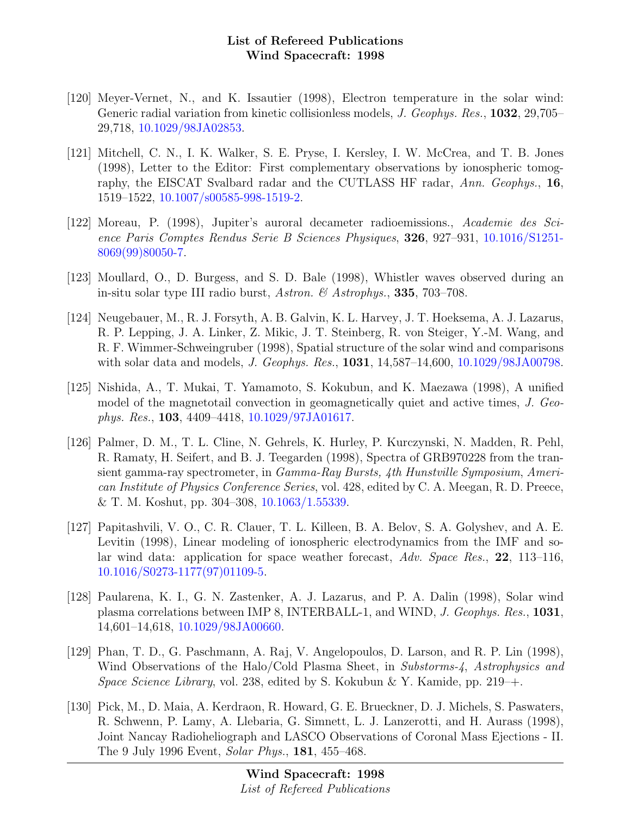- [120] Meyer-Vernet, N., and K. Issautier (1998), Electron temperature in the solar wind: Generic radial variation from kinetic collisionless models, *J. Geophys. Res.*, **1032**, 29,705– 29,718, [10.1029/98JA02853.](http://dx.doi.org/10.1029/98JA02853)
- [121] Mitchell, C. N., I. K. Walker, S. E. Pryse, I. Kersley, I. W. McCrea, and T. B. Jones (1998), Letter to the Editor: First complementary observations by ionospheric tomography, the EISCAT Svalbard radar and the CUTLASS HF radar, Ann. Geophys., 16, 1519–1522, [10.1007/s00585-998-1519-2.](http://dx.doi.org/10.1007/s00585-998-1519-2)
- [122] Moreau, P. (1998), Jupiter's auroral decameter radioemissions., Academie des Science Paris Comptes Rendus Serie B Sciences Physiques, 326, 927–931, [10.1016/S1251-](http://dx.doi.org/10.1016/S1251-8069(99)80050-7) [8069\(99\)80050-7.](http://dx.doi.org/10.1016/S1251-8069(99)80050-7)
- [123] Moullard, O., D. Burgess, and S. D. Bale (1998), Whistler waves observed during an in-situ solar type III radio burst, Astron. & Astrophys., 335, 703–708.
- [124] Neugebauer, M., R. J. Forsyth, A. B. Galvin, K. L. Harvey, J. T. Hoeksema, A. J. Lazarus, R. P. Lepping, J. A. Linker, Z. Mikic, J. T. Steinberg, R. von Steiger, Y.-M. Wang, and R. F. Wimmer-Schweingruber (1998), Spatial structure of the solar wind and comparisons with solar data and models, *J. Geophys. Res.*, **1031**, 14,587-14,600, [10.1029/98JA00798.](http://dx.doi.org/10.1029/98JA00798)
- [125] Nishida, A., T. Mukai, T. Yamamoto, S. Kokubun, and K. Maezawa (1998), A unified model of the magnetotail convection in geomagnetically quiet and active times, J. Geophys. Res., 103, 4409–4418, [10.1029/97JA01617.](http://dx.doi.org/10.1029/97JA01617)
- [126] Palmer, D. M., T. L. Cline, N. Gehrels, K. Hurley, P. Kurczynski, N. Madden, R. Pehl, R. Ramaty, H. Seifert, and B. J. Teegarden (1998), Spectra of GRB970228 from the transient gamma-ray spectrometer, in Gamma-Ray Bursts, 4th Hunstville Symposium, American Institute of Physics Conference Series, vol. 428, edited by C. A. Meegan, R. D. Preece, & T. M. Koshut, pp. 304–308, [10.1063/1.55339.](http://dx.doi.org/10.1063/1.55339)
- [127] Papitashvili, V. O., C. R. Clauer, T. L. Killeen, B. A. Belov, S. A. Golyshev, and A. E. Levitin (1998), Linear modeling of ionospheric electrodynamics from the IMF and solar wind data: application for space weather forecast, Adv. Space Res., 22, 113–116, [10.1016/S0273-1177\(97\)01109-5.](http://dx.doi.org/10.1016/S0273-1177(97)01109-5)
- [128] Paularena, K. I., G. N. Zastenker, A. J. Lazarus, and P. A. Dalin (1998), Solar wind plasma correlations between IMP 8, INTERBALL-1, and WIND, J. Geophys. Res., 1031, 14,601–14,618, [10.1029/98JA00660.](http://dx.doi.org/10.1029/98JA00660)
- [129] Phan, T. D., G. Paschmann, A. Raj, V. Angelopoulos, D. Larson, and R. P. Lin (1998), Wind Observations of the Halo/Cold Plasma Sheet, in Substorms-4, Astrophysics and Space Science Library, vol. 238, edited by S. Kokubun & Y. Kamide, pp. 219–+.
- [130] Pick, M., D. Maia, A. Kerdraon, R. Howard, G. E. Brueckner, D. J. Michels, S. Paswaters, R. Schwenn, P. Lamy, A. Llebaria, G. Simnett, L. J. Lanzerotti, and H. Aurass (1998), Joint Nancay Radioheliograph and LASCO Observations of Coronal Mass Ejections - II. The 9 July 1996 Event, Solar Phys., 181, 455–468.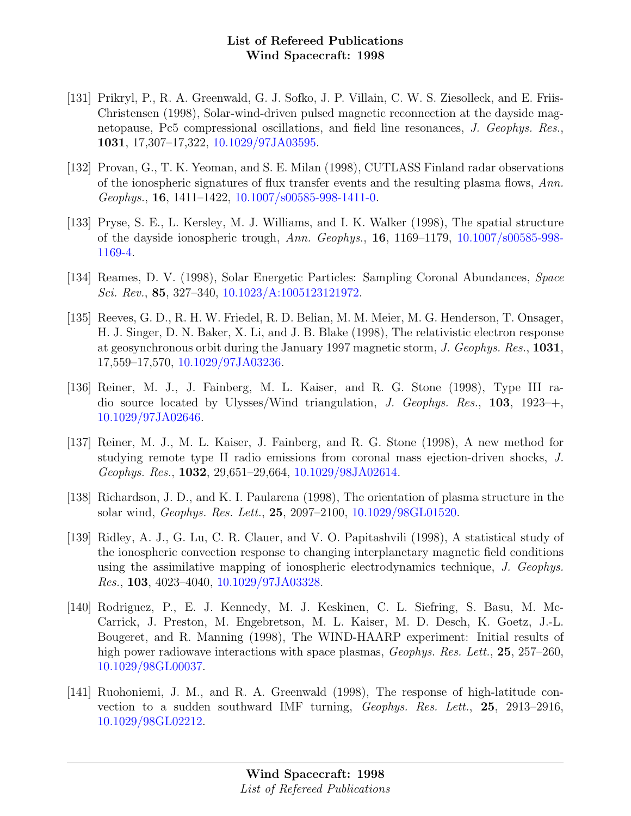- [131] Prikryl, P., R. A. Greenwald, G. J. Sofko, J. P. Villain, C. W. S. Ziesolleck, and E. Friis-Christensen (1998), Solar-wind-driven pulsed magnetic reconnection at the dayside magnetopause, Pc5 compressional oscillations, and field line resonances, J. Geophys. Res., 1031, 17,307–17,322, [10.1029/97JA03595.](http://dx.doi.org/10.1029/97JA03595)
- [132] Provan, G., T. K. Yeoman, and S. E. Milan (1998), CUTLASS Finland radar observations of the ionospheric signatures of flux transfer events and the resulting plasma flows, Ann. Geophys., 16, 1411–1422, [10.1007/s00585-998-1411-0.](http://dx.doi.org/10.1007/s00585-998-1411-0)
- [133] Pryse, S. E., L. Kersley, M. J. Williams, and I. K. Walker (1998), The spatial structure of the dayside ionospheric trough, Ann. Geophys., 16, 1169–1179, [10.1007/s00585-998-](http://dx.doi.org/10.1007/s00585-998-1169-4) [1169-4.](http://dx.doi.org/10.1007/s00585-998-1169-4)
- [134] Reames, D. V. (1998), Solar Energetic Particles: Sampling Coronal Abundances, Space Sci. Rev., 85, 327–340, [10.1023/A:1005123121972.](http://dx.doi.org/10.1023/A:1005123121972)
- [135] Reeves, G. D., R. H. W. Friedel, R. D. Belian, M. M. Meier, M. G. Henderson, T. Onsager, H. J. Singer, D. N. Baker, X. Li, and J. B. Blake (1998), The relativistic electron response at geosynchronous orbit during the January 1997 magnetic storm, J. Geophys. Res., 1031, 17,559–17,570, [10.1029/97JA03236.](http://dx.doi.org/10.1029/97JA03236)
- [136] Reiner, M. J., J. Fainberg, M. L. Kaiser, and R. G. Stone (1998), Type III radio source located by Ulysses/Wind triangulation, J. Geophys. Res., 103, 1923–+, [10.1029/97JA02646.](http://dx.doi.org/10.1029/97JA02646)
- [137] Reiner, M. J., M. L. Kaiser, J. Fainberg, and R. G. Stone (1998), A new method for studying remote type II radio emissions from coronal mass ejection-driven shocks, J. Geophys. Res., 1032, 29,651–29,664, [10.1029/98JA02614.](http://dx.doi.org/10.1029/98JA02614)
- [138] Richardson, J. D., and K. I. Paularena (1998), The orientation of plasma structure in the solar wind, Geophys. Res. Lett., 25, 2097–2100, [10.1029/98GL01520.](http://dx.doi.org/10.1029/98GL01520)
- [139] Ridley, A. J., G. Lu, C. R. Clauer, and V. O. Papitashvili (1998), A statistical study of the ionospheric convection response to changing interplanetary magnetic field conditions using the assimilative mapping of ionospheric electrodynamics technique, J. Geophys. Res., 103, 4023–4040, [10.1029/97JA03328.](http://dx.doi.org/10.1029/97JA03328)
- [140] Rodriguez, P., E. J. Kennedy, M. J. Keskinen, C. L. Siefring, S. Basu, M. Mc-Carrick, J. Preston, M. Engebretson, M. L. Kaiser, M. D. Desch, K. Goetz, J.-L. Bougeret, and R. Manning (1998), The WIND-HAARP experiment: Initial results of high power radiowave interactions with space plasmas, *Geophys. Res. Lett.*, **25**, 257–260, [10.1029/98GL00037.](http://dx.doi.org/10.1029/98GL00037)
- [141] Ruohoniemi, J. M., and R. A. Greenwald (1998), The response of high-latitude convection to a sudden southward IMF turning, Geophys. Res. Lett., 25, 2913–2916, [10.1029/98GL02212.](http://dx.doi.org/10.1029/98GL02212)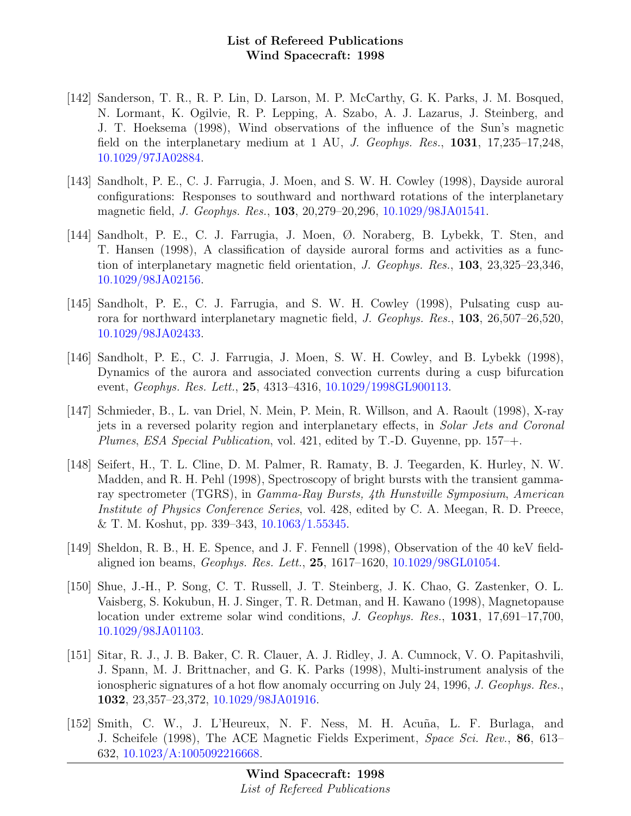- [142] Sanderson, T. R., R. P. Lin, D. Larson, M. P. McCarthy, G. K. Parks, J. M. Bosqued, N. Lormant, K. Ogilvie, R. P. Lepping, A. Szabo, A. J. Lazarus, J. Steinberg, and J. T. Hoeksema (1998), Wind observations of the influence of the Sun's magnetic field on the interplanetary medium at 1 AU, J. Geophys. Res., 1031, 17,235–17,248, [10.1029/97JA02884.](http://dx.doi.org/10.1029/97JA02884)
- [143] Sandholt, P. E., C. J. Farrugia, J. Moen, and S. W. H. Cowley (1998), Dayside auroral configurations: Responses to southward and northward rotations of the interplanetary magnetic field, J. Geophys. Res., 103, 20,279–20,296, [10.1029/98JA01541.](http://dx.doi.org/10.1029/98JA01541)
- [144] Sandholt, P. E., C. J. Farrugia, J. Moen, Ø. Noraberg, B. Lybekk, T. Sten, and T. Hansen (1998), A classification of dayside auroral forms and activities as a function of interplanetary magnetic field orientation, J. Geophys. Res., 103, 23,325–23,346, [10.1029/98JA02156.](http://dx.doi.org/10.1029/98JA02156)
- [145] Sandholt, P. E., C. J. Farrugia, and S. W. H. Cowley (1998), Pulsating cusp aurora for northward interplanetary magnetic field, J. Geophys. Res., 103, 26,507–26,520, [10.1029/98JA02433.](http://dx.doi.org/10.1029/98JA02433)
- [146] Sandholt, P. E., C. J. Farrugia, J. Moen, S. W. H. Cowley, and B. Lybekk (1998), Dynamics of the aurora and associated convection currents during a cusp bifurcation event, *Geophys. Res. Lett.*, **25**, 4313-4316, [10.1029/1998GL900113.](http://dx.doi.org/10.1029/1998GL900113)
- [147] Schmieder, B., L. van Driel, N. Mein, P. Mein, R. Willson, and A. Raoult (1998), X-ray jets in a reversed polarity region and interplanetary effects, in Solar Jets and Coronal Plumes, ESA Special Publication, vol. 421, edited by T.-D. Guyenne, pp. 157–+.
- [148] Seifert, H., T. L. Cline, D. M. Palmer, R. Ramaty, B. J. Teegarden, K. Hurley, N. W. Madden, and R. H. Pehl (1998), Spectroscopy of bright bursts with the transient gammaray spectrometer (TGRS), in Gamma-Ray Bursts, 4th Hunstville Symposium, American Institute of Physics Conference Series, vol. 428, edited by C. A. Meegan, R. D. Preece, & T. M. Koshut, pp. 339–343, [10.1063/1.55345.](http://dx.doi.org/10.1063/1.55345)
- [149] Sheldon, R. B., H. E. Spence, and J. F. Fennell (1998), Observation of the 40 keV fieldaligned ion beams, Geophys. Res. Lett., 25, 1617–1620, [10.1029/98GL01054.](http://dx.doi.org/10.1029/98GL01054)
- [150] Shue, J.-H., P. Song, C. T. Russell, J. T. Steinberg, J. K. Chao, G. Zastenker, O. L. Vaisberg, S. Kokubun, H. J. Singer, T. R. Detman, and H. Kawano (1998), Magnetopause location under extreme solar wind conditions, J. Geophys. Res., 1031, 17,691–17,700, [10.1029/98JA01103.](http://dx.doi.org/10.1029/98JA01103)
- [151] Sitar, R. J., J. B. Baker, C. R. Clauer, A. J. Ridley, J. A. Cumnock, V. O. Papitashvili, J. Spann, M. J. Brittnacher, and G. K. Parks (1998), Multi-instrument analysis of the ionospheric signatures of a hot flow anomaly occurring on July 24, 1996, J. Geophys. Res., 1032, 23,357–23,372, [10.1029/98JA01916.](http://dx.doi.org/10.1029/98JA01916)
- [152] Smith, C. W., J. L'Heureux, N. F. Ness, M. H. Acu˜na, L. F. Burlaga, and J. Scheifele (1998), The ACE Magnetic Fields Experiment, Space Sci. Rev., 86, 613– 632, [10.1023/A:1005092216668.](http://dx.doi.org/10.1023/A:1005092216668)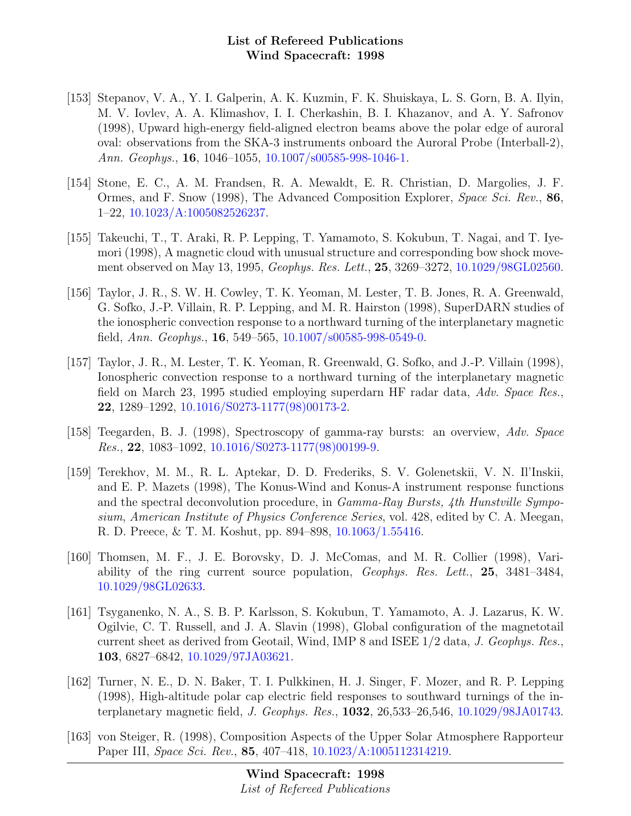- [153] Stepanov, V. A., Y. I. Galperin, A. K. Kuzmin, F. K. Shuiskaya, L. S. Gorn, B. A. Ilyin, M. V. Iovlev, A. A. Klimashov, I. I. Cherkashin, B. I. Khazanov, and A. Y. Safronov (1998), Upward high-energy field-aligned electron beams above the polar edge of auroral oval: observations from the SKA-3 instruments onboard the Auroral Probe (Interball-2), Ann. Geophys., **16**, 1046–1055, [10.1007/s00585-998-1046-1.](http://dx.doi.org/10.1007/s00585-998-1046-1)
- [154] Stone, E. C., A. M. Frandsen, R. A. Mewaldt, E. R. Christian, D. Margolies, J. F. Ormes, and F. Snow (1998), The Advanced Composition Explorer, Space Sci. Rev., 86, 1–22, [10.1023/A:1005082526237.](http://dx.doi.org/10.1023/A:1005082526237)
- [155] Takeuchi, T., T. Araki, R. P. Lepping, T. Yamamoto, S. Kokubun, T. Nagai, and T. Iyemori (1998), A magnetic cloud with unusual structure and corresponding bow shock movement observed on May 13, 1995, Geophys. Res. Lett., 25, 3269–3272, [10.1029/98GL02560.](http://dx.doi.org/10.1029/98GL02560)
- [156] Taylor, J. R., S. W. H. Cowley, T. K. Yeoman, M. Lester, T. B. Jones, R. A. Greenwald, G. Sofko, J.-P. Villain, R. P. Lepping, and M. R. Hairston (1998), SuperDARN studies of the ionospheric convection response to a northward turning of the interplanetary magnetic field, Ann. Geophys., 16, 549–565, [10.1007/s00585-998-0549-0.](http://dx.doi.org/10.1007/s00585-998-0549-0)
- [157] Taylor, J. R., M. Lester, T. K. Yeoman, R. Greenwald, G. Sofko, and J.-P. Villain (1998), Ionospheric convection response to a northward turning of the interplanetary magnetic field on March 23, 1995 studied employing superdarn HF radar data, Adv. Space Res., 22, 1289–1292, [10.1016/S0273-1177\(98\)00173-2.](http://dx.doi.org/10.1016/S0273-1177(98)00173-2)
- [158] Teegarden, B. J. (1998), Spectroscopy of gamma-ray bursts: an overview, Adv. Space Res., 22, 1083–1092, [10.1016/S0273-1177\(98\)00199-9.](http://dx.doi.org/10.1016/S0273-1177(98)00199-9)
- [159] Terekhov, M. M., R. L. Aptekar, D. D. Frederiks, S. V. Golenetskii, V. N. Il'Inskii, and E. P. Mazets (1998), The Konus-Wind and Konus-A instrument response functions and the spectral deconvolution procedure, in Gamma-Ray Bursts, 4th Hunstville Symposium, American Institute of Physics Conference Series, vol. 428, edited by C. A. Meegan, R. D. Preece, & T. M. Koshut, pp. 894–898, [10.1063/1.55416.](http://dx.doi.org/10.1063/1.55416)
- [160] Thomsen, M. F., J. E. Borovsky, D. J. McComas, and M. R. Collier (1998), Variability of the ring current source population, Geophys. Res. Lett., 25, 3481–3484, [10.1029/98GL02633.](http://dx.doi.org/10.1029/98GL02633)
- [161] Tsyganenko, N. A., S. B. P. Karlsson, S. Kokubun, T. Yamamoto, A. J. Lazarus, K. W. Ogilvie, C. T. Russell, and J. A. Slavin (1998), Global configuration of the magnetotail current sheet as derived from Geotail, Wind, IMP 8 and ISEE 1/2 data, J. Geophys. Res., 103, 6827–6842, [10.1029/97JA03621.](http://dx.doi.org/10.1029/97JA03621)
- [162] Turner, N. E., D. N. Baker, T. I. Pulkkinen, H. J. Singer, F. Mozer, and R. P. Lepping (1998), High-altitude polar cap electric field responses to southward turnings of the interplanetary magnetic field, J. Geophys. Res., 1032, 26,533–26,546, [10.1029/98JA01743.](http://dx.doi.org/10.1029/98JA01743)
- [163] von Steiger, R. (1998), Composition Aspects of the Upper Solar Atmosphere Rapporteur Paper III, Space Sci. Rev., 85, 407–418, [10.1023/A:1005112314219.](http://dx.doi.org/10.1023/A:1005112314219)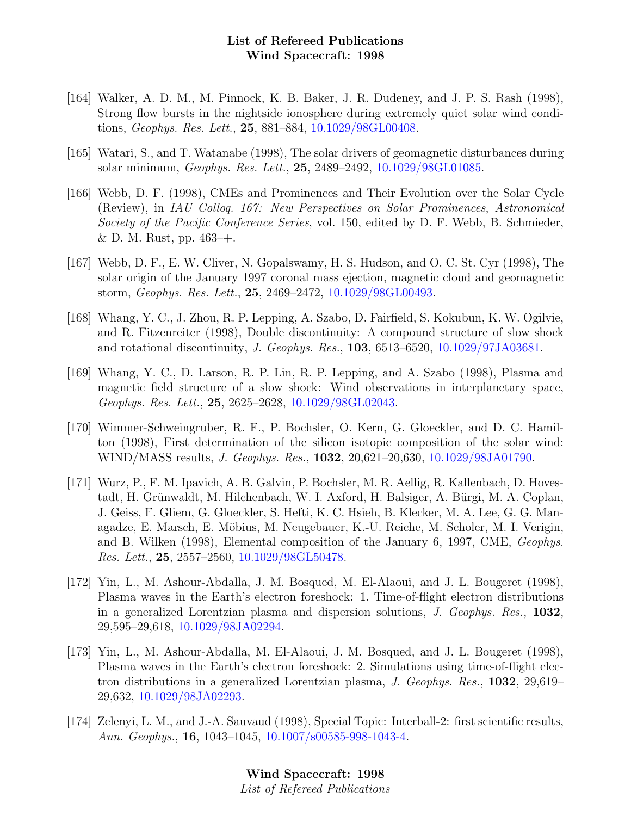- [164] Walker, A. D. M., M. Pinnock, K. B. Baker, J. R. Dudeney, and J. P. S. Rash (1998), Strong flow bursts in the nightside ionosphere during extremely quiet solar wind conditions, Geophys. Res. Lett., 25, 881–884, [10.1029/98GL00408.](http://dx.doi.org/10.1029/98GL00408)
- [165] Watari, S., and T. Watanabe (1998), The solar drivers of geomagnetic disturbances during solar minimum, Geophys. Res. Lett., 25, 2489–2492, [10.1029/98GL01085.](http://dx.doi.org/10.1029/98GL01085)
- [166] Webb, D. F. (1998), CMEs and Prominences and Their Evolution over the Solar Cycle (Review), in IAU Colloq. 167: New Perspectives on Solar Prominences, Astronomical Society of the Pacific Conference Series, vol. 150, edited by D. F. Webb, B. Schmieder, & D. M. Rust, pp.  $463$ –+.
- [167] Webb, D. F., E. W. Cliver, N. Gopalswamy, H. S. Hudson, and O. C. St. Cyr (1998), The solar origin of the January 1997 coronal mass ejection, magnetic cloud and geomagnetic storm, Geophys. Res. Lett., 25, 2469–2472, [10.1029/98GL00493.](http://dx.doi.org/10.1029/98GL00493)
- [168] Whang, Y. C., J. Zhou, R. P. Lepping, A. Szabo, D. Fairfield, S. Kokubun, K. W. Ogilvie, and R. Fitzenreiter (1998), Double discontinuity: A compound structure of slow shock and rotational discontinuity, J. Geophys. Res., 103, 6513–6520, [10.1029/97JA03681.](http://dx.doi.org/10.1029/97JA03681)
- [169] Whang, Y. C., D. Larson, R. P. Lin, R. P. Lepping, and A. Szabo (1998), Plasma and magnetic field structure of a slow shock: Wind observations in interplanetary space, Geophys. Res. Lett., 25, 2625–2628, [10.1029/98GL02043.](http://dx.doi.org/10.1029/98GL02043)
- [170] Wimmer-Schweingruber, R. F., P. Bochsler, O. Kern, G. Gloeckler, and D. C. Hamilton (1998), First determination of the silicon isotopic composition of the solar wind: WIND/MASS results, J. Geophys. Res., 1032, 20,621–20,630, [10.1029/98JA01790.](http://dx.doi.org/10.1029/98JA01790)
- [171] Wurz, P., F. M. Ipavich, A. B. Galvin, P. Bochsler, M. R. Aellig, R. Kallenbach, D. Hovestadt, H. Grünwaldt, M. Hilchenbach, W. I. Axford, H. Balsiger, A. Bürgi, M. A. Coplan, J. Geiss, F. Gliem, G. Gloeckler, S. Hefti, K. C. Hsieh, B. Klecker, M. A. Lee, G. G. Managadze, E. Marsch, E. Möbius, M. Neugebauer, K.-U. Reiche, M. Scholer, M. I. Verigin, and B. Wilken (1998), Elemental composition of the January 6, 1997, CME, Geophys. Res. Lett., 25, 2557–2560, [10.1029/98GL50478.](http://dx.doi.org/10.1029/98GL50478)
- [172] Yin, L., M. Ashour-Abdalla, J. M. Bosqued, M. El-Alaoui, and J. L. Bougeret (1998), Plasma waves in the Earth's electron foreshock: 1. Time-of-flight electron distributions in a generalized Lorentzian plasma and dispersion solutions, J. Geophys. Res., 1032, 29,595–29,618, [10.1029/98JA02294.](http://dx.doi.org/10.1029/98JA02294)
- [173] Yin, L., M. Ashour-Abdalla, M. El-Alaoui, J. M. Bosqued, and J. L. Bougeret (1998), Plasma waves in the Earth's electron foreshock: 2. Simulations using time-of-flight electron distributions in a generalized Lorentzian plasma, J. Geophys. Res., 1032, 29,619– 29,632, [10.1029/98JA02293.](http://dx.doi.org/10.1029/98JA02293)
- [174] Zelenyi, L. M., and J.-A. Sauvaud (1998), Special Topic: Interball-2: first scientific results, Ann. Geophys., 16, 1043–1045, [10.1007/s00585-998-1043-4.](http://dx.doi.org/10.1007/s00585-998-1043-4)